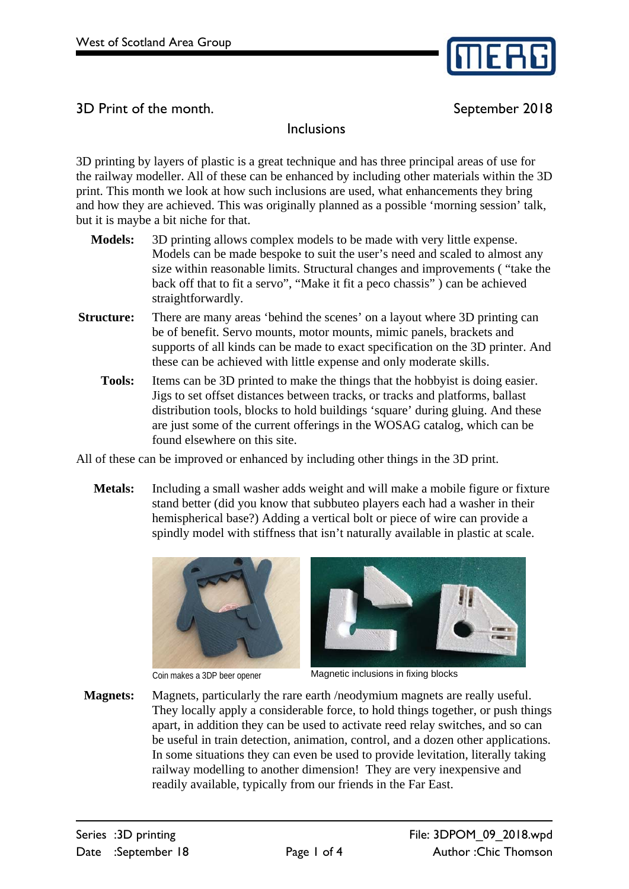

3D Print of the month. September 2018

## **Inclusions**

3D printing by layers of plastic is a great technique and has three principal areas of use for the railway modeller. All of these can be enhanced by including other materials within the 3D print. This month we look at how such inclusions are used, what enhancements they bring and how they are achieved. This was originally planned as a possible 'morning session' talk, but it is maybe a bit niche for that.

- **Models:** 3D printing allows complex models to be made with very little expense. Models can be made bespoke to suit the user's need and scaled to almost any size within reasonable limits. Structural changes and improvements ( "take the back off that to fit a servo", "Make it fit a peco chassis" ) can be achieved straightforwardly.
- **Structure:** There are many areas 'behind the scenes' on a layout where 3D printing can be of benefit. Servo mounts, motor mounts, mimic panels, brackets and supports of all kinds can be made to exact specification on the 3D printer. And these can be achieved with little expense and only moderate skills.
	- **Tools:** Items can be 3D printed to make the things that the hobbyist is doing easier. Jigs to set offset distances between tracks, or tracks and platforms, ballast distribution tools, blocks to hold buildings 'square' during gluing. And these are just some of the current offerings in the WOSAG catalog, which can be found elsewhere on this site.

All of these can be improved or enhanced by including other things in the 3D print.

**Metals:** Including a small washer adds weight and will make a mobile figure or fixture stand better (did you know that subbuteo players each had a washer in their hemispherical base?) Adding a vertical bolt or piece of wire can provide a spindly model with stiffness that isn't naturally available in plastic at scale.





Coin makes a 3DP beer opener Magnetic inclusions in fixing blocks

**Magnets:** Magnets, particularly the rare earth /neodymium magnets are really useful. They locally apply a considerable force, to hold things together, or push things apart, in addition they can be used to activate reed relay switches, and so can be useful in train detection, animation, control, and a dozen other applications. In some situations they can even be used to provide levitation, literally taking railway modelling to another dimension! They are very inexpensive and readily available, typically from our friends in the Far East.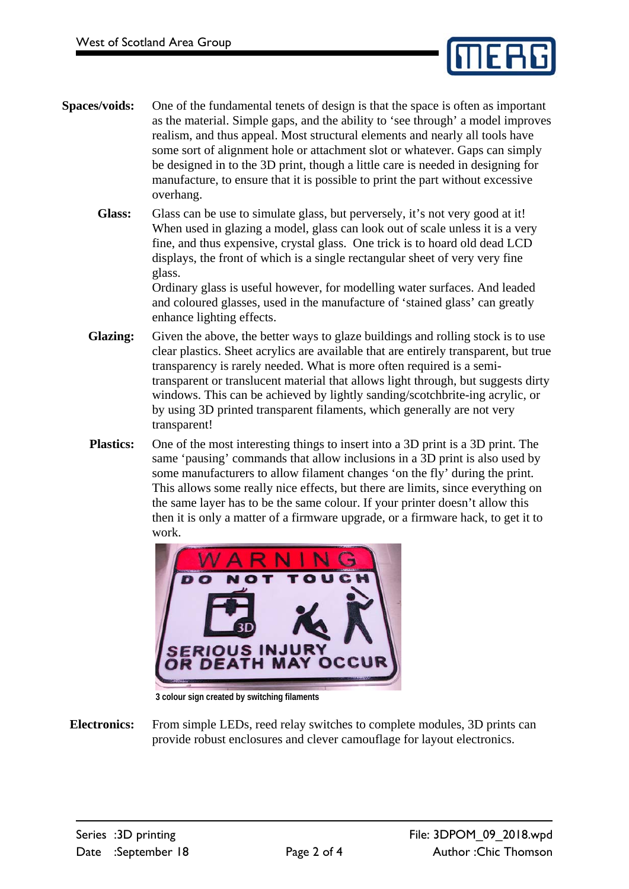

- **Spaces/voids:** One of the fundamental tenets of design is that the space is often as important as the material. Simple gaps, and the ability to 'see through' a model improves realism, and thus appeal. Most structural elements and nearly all tools have some sort of alignment hole or attachment slot or whatever. Gaps can simply be designed in to the 3D print, though a little care is needed in designing for manufacture, to ensure that it is possible to print the part without excessive overhang.
	- Glass: Glass can be use to simulate glass, but perversely, it's not very good at it! When used in glazing a model, glass can look out of scale unless it is a very fine, and thus expensive, crystal glass. One trick is to hoard old dead LCD displays, the front of which is a single rectangular sheet of very very fine glass.

Ordinary glass is useful however, for modelling water surfaces. And leaded and coloured glasses, used in the manufacture of 'stained glass' can greatly enhance lighting effects.

- **Glazing:** Given the above, the better ways to glaze buildings and rolling stock is to use clear plastics. Sheet acrylics are available that are entirely transparent, but true transparency is rarely needed. What is more often required is a semitransparent or translucent material that allows light through, but suggests dirty windows. This can be achieved by lightly sanding/scotchbrite-ing acrylic, or by using 3D printed transparent filaments, which generally are not very transparent!
- **Plastics:** One of the most interesting things to insert into a 3D print is a 3D print. The same 'pausing' commands that allow inclusions in a 3D print is also used by some manufacturers to allow filament changes 'on the fly' during the print. This allows some really nice effects, but there are limits, since everything on the same layer has to be the same colour. If your printer doesn't allow this then it is only a matter of a firmware upgrade, or a firmware hack, to get it to work.



**3 colour sign created by switching filaments**

**Electronics:** From simple LEDs, reed relay switches to complete modules, 3D prints can provide robust enclosures and clever camouflage for layout electronics.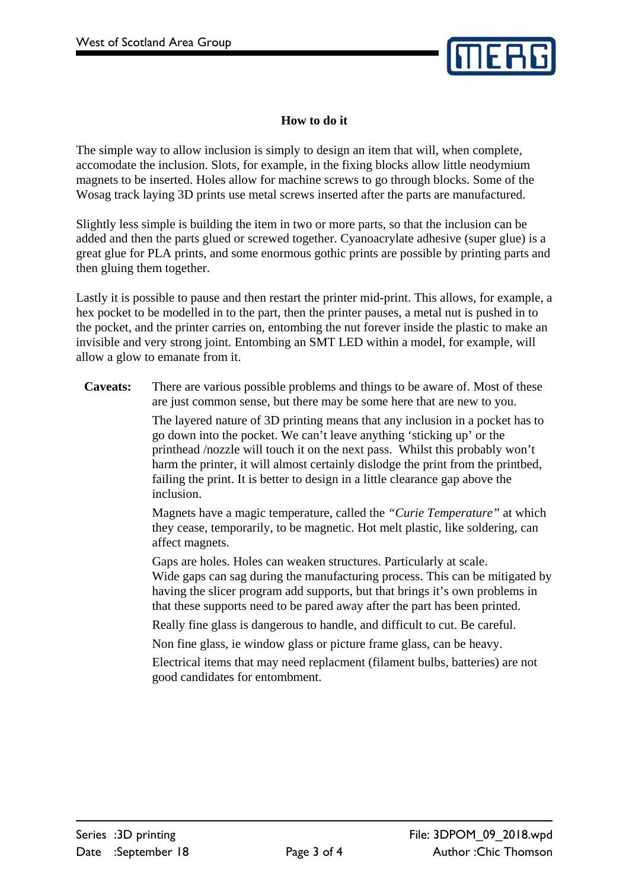

## **How to do it**

The simple way to allow inclusion is simply to design an item that will, when complete, accomodate the inclusion. Slots, for example, in the fixing blocks allow little neodymium magnets to be inserted. Holes allow for machine screws to go through blocks. Some of the Wosag track laying 3D prints use metal screws inserted after the parts are manufactured.

Slightly less simple is building the item in two or more parts, so that the inclusion can be added and then the parts glued or screwed together. Cyanoacrylate adhesive (super glue) is a great glue for PLA prints, and some enormous gothic prints are possible by printing parts and then gluing them together.

Lastly it is possible to pause and then restart the printer mid-print. This allows, for example, a hex pocket to be modelled in to the part, then the printer pauses, a metal nut is pushed in to the pocket, and the printer carries on, entombing the nut forever inside the plastic to make an invisible and very strong joint. Entombing an SMT LED within a model, for example, will allow a glow to emanate from it.

**Caveats:** There are various possible problems and things to be aware of. Most of these are just common sense, but there may be some here that are new to you.

> The layered nature of 3D printing means that any inclusion in a pocket has to go down into the pocket. We can't leave anything 'sticking up' or the printhead /nozzle will touch it on the next pass. Whilst this probably won't harm the printer, it will almost certainly dislodge the print from the printbed, failing the print. It is better to design in a little clearance gap above the inclusion.

> Magnets have a magic temperature, called the *"Curie Temperature"* at which they cease, temporarily, to be magnetic. Hot melt plastic, like soldering, can affect magnets.

Gaps are holes. Holes can weaken structures. Particularly at scale. Wide gaps can sag during the manufacturing process. This can be mitigated by having the slicer program add supports, but that brings it's own problems in that these supports need to be pared away after the part has been printed.

Really fine glass is dangerous to handle, and difficult to cut. Be careful.

Non fine glass, ie window glass or picture frame glass, can be heavy.

Electrical items that may need replacment (filament bulbs, batteries) are not good candidates for entombment.